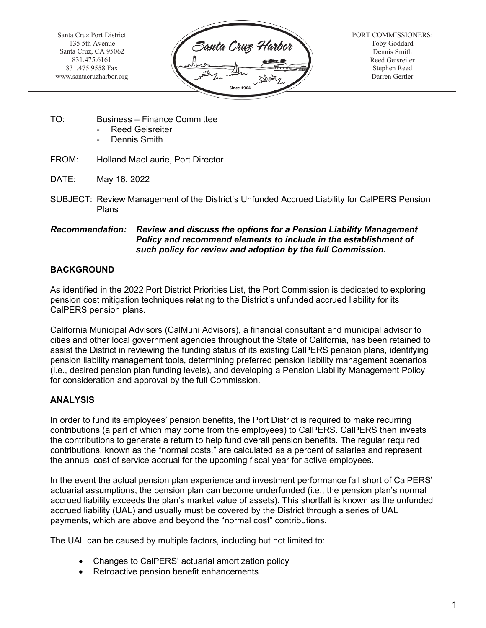Santa Cruz Port District 135 5th Avenue Santa Cruz, CA 95062 831.475.6161 831.475.9558 Fax [www.santacruzharbor.org](http://www.santacruzharbor.org/)



PORT COMMISSIONERS: Toby Goddard Dennis Smith Reed Geisreiter Stephen Reed Darren Gertler

- TO: Business Finance Committee
	- Reed Geisreiter
	- Dennis Smith
- FROM: Holland MacLaurie, Port Director
- DATE: May 16, 2022
- SUBJECT: Review Management of the District's Unfunded Accrued Liability for CalPERS Pension Plans

#### *Recommendation: Review and discuss the options for a Pension Liability Management Policy and recommend elements to include in the establishment of such policy for review and adoption by the full Commission.*

# **BACKGROUND**

As identified in the 2022 Port District Priorities List, the Port Commission is dedicated to exploring pension cost mitigation techniques relating to the District's unfunded accrued liability for its CalPERS pension plans.

California Municipal Advisors (CalMuni Advisors), a financial consultant and municipal advisor to cities and other local government agencies throughout the State of California, has been retained to assist the District in reviewing the funding status of its existing CalPERS pension plans, identifying pension liability management tools, determining preferred pension liability management scenarios (i.e., desired pension plan funding levels), and developing a Pension Liability Management Policy for consideration and approval by the full Commission.

# **ANALYSIS**

In order to fund its employees' pension benefits, the Port District is required to make recurring contributions (a part of which may come from the employees) to CalPERS. CalPERS then invests the contributions to generate a return to help fund overall pension benefits. The regular required contributions, known as the "normal costs," are calculated as a percent of salaries and represent the annual cost of service accrual for the upcoming fiscal year for active employees.

In the event the actual pension plan experience and investment performance fall short of CalPERS' actuarial assumptions, the pension plan can become underfunded (i.e., the pension plan's normal accrued liability exceeds the plan's market value of assets). This shortfall is known as the unfunded accrued liability (UAL) and usually must be covered by the District through a series of UAL payments, which are above and beyond the "normal cost" contributions.

The UAL can be caused by multiple factors, including but not limited to:

- Changes to CalPERS' actuarial amortization policy
- Retroactive pension benefit enhancements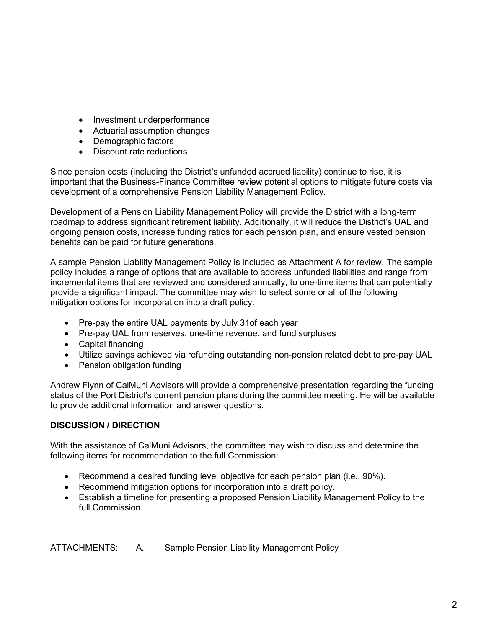- Investment underperformance
- Actuarial assumption changes
- Demographic factors
- Discount rate reductions

Since pension costs (including the District's unfunded accrued liability) continue to rise, it is important that the Business-Finance Committee review potential options to mitigate future costs via development of a comprehensive Pension Liability Management Policy.

Development of a Pension Liability Management Policy will provide the District with a long-term roadmap to address significant retirement liability. Additionally, it will reduce the District's UAL and ongoing pension costs, increase funding ratios for each pension plan, and ensure vested pension benefits can be paid for future generations.

A sample Pension Liability Management Policy is included as Attachment A for review. The sample policy includes a range of options that are available to address unfunded liabilities and range from incremental items that are reviewed and considered annually, to one-time items that can potentially provide a significant impact. The committee may wish to select some or all of the following mitigation options for incorporation into a draft policy:

- Pre-pay the entire UAL payments by July 31of each year
- Pre-pay UAL from reserves, one-time revenue, and fund surpluses
- Capital financing
- Utilize savings achieved via refunding outstanding non-pension related debt to pre-pay UAL
- Pension obligation funding

Andrew Flynn of CalMuni Advisors will provide a comprehensive presentation regarding the funding status of the Port District's current pension plans during the committee meeting. He will be available to provide additional information and answer questions.

# **DISCUSSION / DIRECTION**

With the assistance of CalMuni Advisors, the committee may wish to discuss and determine the following items for recommendation to the full Commission:

- Recommend a desired funding level objective for each pension plan (i.e., 90%).
- Recommend mitigation options for incorporation into a draft policy.
- Establish a timeline for presenting a proposed Pension Liability Management Policy to the full Commission.

ATTACHMENTS: A. Sample Pension Liability Management Policy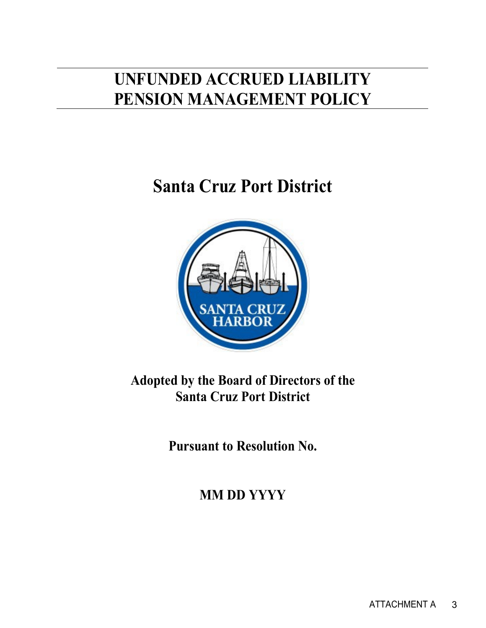# **UNFUNDED ACCRUED LIABILITY PENSION MANAGEMENT POLICY**

# **Santa Cruz Port District**



# **Adopted by the Board of Directors of the Santa Cruz Port District**

**Pursuant to Resolution No.** 

**MM DD YYYY**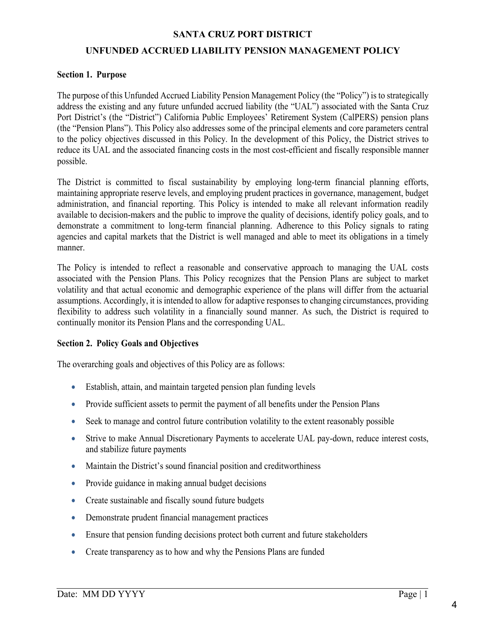# **UNFUNDED ACCRUED LIABILITY PENSION MANAGEMENT POLICY**

#### **Section 1. Purpose**

The purpose of this Unfunded Accrued Liability Pension Management Policy (the "Policy") is to strategically address the existing and any future unfunded accrued liability (the "UAL") associated with the Santa Cruz Port District's (the "District") California Public Employees' Retirement System (CalPERS) pension plans (the "Pension Plans"). This Policy also addresses some of the principal elements and core parameters central to the policy objectives discussed in this Policy. In the development of this Policy, the District strives to reduce its UAL and the associated financing costs in the most cost-efficient and fiscally responsible manner possible.

The District is committed to fiscal sustainability by employing long-term financial planning efforts, maintaining appropriate reserve levels, and employing prudent practices in governance, management, budget administration, and financial reporting. This Policy is intended to make all relevant information readily available to decision-makers and the public to improve the quality of decisions, identify policy goals, and to demonstrate a commitment to long-term financial planning. Adherence to this Policy signals to rating agencies and capital markets that the District is well managed and able to meet its obligations in a timely manner.

The Policy is intended to reflect a reasonable and conservative approach to managing the UAL costs associated with the Pension Plans. This Policy recognizes that the Pension Plans are subject to market volatility and that actual economic and demographic experience of the plans will differ from the actuarial assumptions. Accordingly, it is intended to allow for adaptive responses to changing circumstances, providing flexibility to address such volatility in a financially sound manner. As such, the District is required to continually monitor its Pension Plans and the corresponding UAL.

#### **Section 2. Policy Goals and Objectives**

The overarching goals and objectives of this Policy are as follows:

- Establish, attain, and maintain targeted pension plan funding levels
- Provide sufficient assets to permit the payment of all benefits under the Pension Plans
- Seek to manage and control future contribution volatility to the extent reasonably possible
- Strive to make Annual Discretionary Payments to accelerate UAL pay-down, reduce interest costs, and stabilize future payments
- Maintain the District's sound financial position and creditworthiness
- Provide guidance in making annual budget decisions
- Create sustainable and fiscally sound future budgets
- Demonstrate prudent financial management practices
- Ensure that pension funding decisions protect both current and future stakeholders
- Create transparency as to how and why the Pensions Plans are funded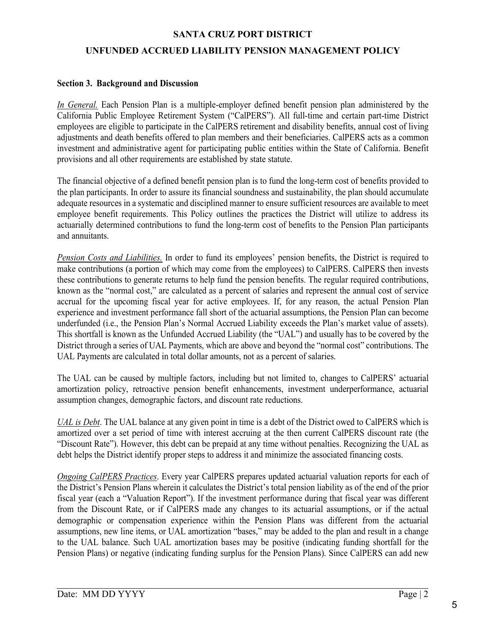# **SANTA CRUZ PORT DISTRICT UNFUNDED ACCRUED LIABILITY PENSION MANAGEMENT POLICY**

#### **Section 3. Background and Discussion**

*In General.* Each Pension Plan is a multiple-employer defined benefit pension plan administered by the California Public Employee Retirement System ("CalPERS"). All full-time and certain part-time District employees are eligible to participate in the CalPERS retirement and disability benefits, annual cost of living adjustments and death benefits offered to plan members and their beneficiaries. CalPERS acts as a common investment and administrative agent for participating public entities within the State of California. Benefit provisions and all other requirements are established by state statute.

The financial objective of a defined benefit pension plan is to fund the long-term cost of benefits provided to the plan participants. In order to assure its financial soundness and sustainability, the plan should accumulate adequate resources in a systematic and disciplined manner to ensure sufficient resources are available to meet employee benefit requirements. This Policy outlines the practices the District will utilize to address its actuarially determined contributions to fund the long-term cost of benefits to the Pension Plan participants and annuitants.

*Pension Costs and Liabilities.* In order to fund its employees' pension benefits, the District is required to make contributions (a portion of which may come from the employees) to CalPERS. CalPERS then invests these contributions to generate returns to help fund the pension benefits. The regular required contributions, known as the "normal cost," are calculated as a percent of salaries and represent the annual cost of service accrual for the upcoming fiscal year for active employees. If, for any reason, the actual Pension Plan experience and investment performance fall short of the actuarial assumptions, the Pension Plan can become underfunded (i.e., the Pension Plan's Normal Accrued Liability exceeds the Plan's market value of assets). This shortfall is known as the Unfunded Accrued Liability (the "UAL") and usually has to be covered by the District through a series of UAL Payments, which are above and beyond the "normal cost" contributions. The UAL Payments are calculated in total dollar amounts, not as a percent of salaries.

The UAL can be caused by multiple factors, including but not limited to, changes to CalPERS' actuarial amortization policy, retroactive pension benefit enhancements, investment underperformance, actuarial assumption changes, demographic factors, and discount rate reductions.

*UAL is Debt*. The UAL balance at any given point in time is a debt of the District owed to CalPERS which is amortized over a set period of time with interest accruing at the then current CalPERS discount rate (the "Discount Rate"). However, this debt can be prepaid at any time without penalties. Recognizing the UAL as debt helps the District identify proper steps to address it and minimize the associated financing costs.

*Ongoing CalPERS Practices*. Every year CalPERS prepares updated actuarial valuation reports for each of the District's Pension Plans wherein it calculates the District's total pension liability as of the end of the prior fiscal year (each a "Valuation Report"). If the investment performance during that fiscal year was different from the Discount Rate, or if CalPERS made any changes to its actuarial assumptions, or if the actual demographic or compensation experience within the Pension Plans was different from the actuarial assumptions, new line items, or UAL amortization "bases," may be added to the plan and result in a change to the UAL balance. Such UAL amortization bases may be positive (indicating funding shortfall for the Pension Plans) or negative (indicating funding surplus for the Pension Plans). Since CalPERS can add new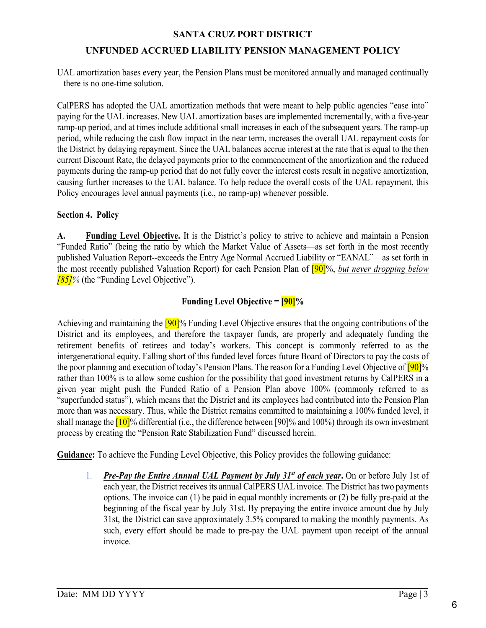# **UNFUNDED ACCRUED LIABILITY PENSION MANAGEMENT POLICY**

UAL amortization bases every year, the Pension Plans must be monitored annually and managed continually – there is no one-time solution.

CalPERS has adopted the UAL amortization methods that were meant to help public agencies "ease into" paying for the UAL increases. New UAL amortization bases are implemented incrementally, with a five-year ramp-up period, and at times include additional small increases in each of the subsequent years. The ramp-up period, while reducing the cash flow impact in the near term, increases the overall UAL repayment costs for the District by delaying repayment. Since the UAL balances accrue interest at the rate that is equal to the then current Discount Rate, the delayed payments prior to the commencement of the amortization and the reduced payments during the ramp-up period that do not fully cover the interest costs result in negative amortization, causing further increases to the UAL balance. To help reduce the overall costs of the UAL repayment, this Policy encourages level annual payments (i.e., no ramp-up) whenever possible.

# **Section 4. Policy**

**A. Funding Level Objective.** It is the District's policy to strive to achieve and maintain a Pension "Funded Ratio" (being the ratio by which the Market Value of Assets—as set forth in the most recently published Valuation Report--exceeds the Entry Age Normal Accrued Liability or "EANAL"—as set forth in the most recently published Valuation Report) for each Pension Plan of [90]%, *but never dropping below [85]%* (the "Funding Level Objective").

# **Funding Level Objective = [90]%**

Achieving and maintaining the  $[90]$ % Funding Level Objective ensures that the ongoing contributions of the District and its employees, and therefore the taxpayer funds, are properly and adequately funding the retirement benefits of retirees and today's workers. This concept is commonly referred to as the intergenerational equity. Falling short of this funded level forces future Board of Directors to pay the costs of the poor planning and execution of today's Pension Plans. The reason for a Funding Level Objective of [90]% rather than 100% is to allow some cushion for the possibility that good investment returns by CalPERS in a given year might push the Funded Ratio of a Pension Plan above 100% (commonly referred to as "superfunded status"), which means that the District and its employees had contributed into the Pension Plan more than was necessary. Thus, while the District remains committed to maintaining a 100% funded level, it shall manage the  $10$ <sup> $\%$ </sup> differential (i.e., the difference between [90]% and 100%) through its own investment process by creating the "Pension Rate Stabilization Fund" discussed herein.

**Guidance:** To achieve the Funding Level Objective, this Policy provides the following guidance:

1. *Pre-Pay the Entire Annual UAL Payment by July 31<sup>st</sup> of each year*. On or before July 1st of each year, the District receives its annual CalPERS UAL invoice. The District has two payments options. The invoice can (1) be paid in equal monthly increments or (2) be fully pre-paid at the beginning of the fiscal year by July 31st. By prepaying the entire invoice amount due by July 31st, the District can save approximately 3.5% compared to making the monthly payments. As such, every effort should be made to pre-pay the UAL payment upon receipt of the annual invoice.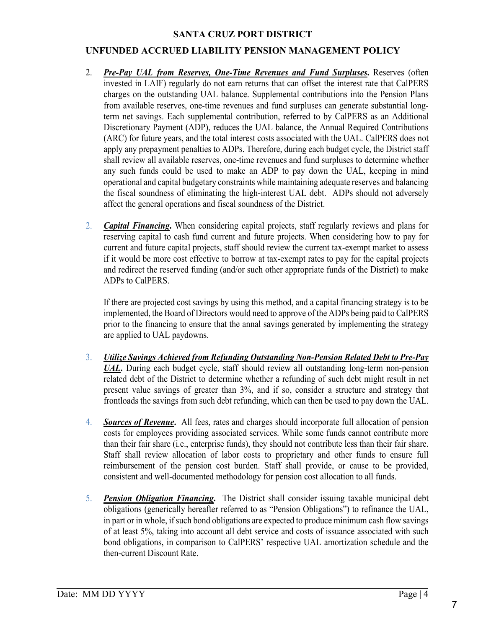# **UNFUNDED ACCRUED LIABILITY PENSION MANAGEMENT POLICY**

- 2. *Pre-Pay UAL from Reserves, One-Time Revenues and Fund Surpluses***.** Reserves (often invested in LAIF) regularly do not earn returns that can offset the interest rate that CalPERS charges on the outstanding UAL balance. Supplemental contributions into the Pension Plans from available reserves, one-time revenues and fund surpluses can generate substantial longterm net savings. Each supplemental contribution, referred to by CalPERS as an Additional Discretionary Payment (ADP), reduces the UAL balance, the Annual Required Contributions (ARC) for future years, and the total interest costs associated with the UAL. CalPERS does not apply any prepayment penalties to ADPs. Therefore, during each budget cycle, the District staff shall review all available reserves, one-time revenues and fund surpluses to determine whether any such funds could be used to make an ADP to pay down the UAL, keeping in mind operational and capital budgetary constraints while maintaining adequate reserves and balancing the fiscal soundness of eliminating the high-interest UAL debt. ADPs should not adversely affect the general operations and fiscal soundness of the District.
- 2. *Capital Financing***.** When considering capital projects, staff regularly reviews and plans for reserving capital to cash fund current and future projects. When considering how to pay for current and future capital projects, staff should review the current tax-exempt market to assess if it would be more cost effective to borrow at tax-exempt rates to pay for the capital projects and redirect the reserved funding (and/or such other appropriate funds of the District) to make ADPs to CalPERS.

If there are projected cost savings by using this method, and a capital financing strategy is to be implemented, the Board of Directors would need to approve of the ADPs being paid to CalPERS prior to the financing to ensure that the annal savings generated by implementing the strategy are applied to UAL paydowns.

- 3. *Utilize Savings Achieved from Refunding Outstanding Non-Pension Related Debt to Pre-Pay UAL***.** During each budget cycle, staff should review all outstanding long-term non-pension related debt of the District to determine whether a refunding of such debt might result in net present value savings of greater than 3%, and if so, consider a structure and strategy that frontloads the savings from such debt refunding, which can then be used to pay down the UAL.
- 4. *Sources of Revenue***.** All fees, rates and charges should incorporate full allocation of pension costs for employees providing associated services. While some funds cannot contribute more than their fair share (i.e., enterprise funds), they should not contribute less than their fair share. Staff shall review allocation of labor costs to proprietary and other funds to ensure full reimbursement of the pension cost burden. Staff shall provide, or cause to be provided, consistent and well-documented methodology for pension cost allocation to all funds.
- 5. *Pension Obligation Financing***.** The District shall consider issuing taxable municipal debt obligations (generically hereafter referred to as "Pension Obligations") to refinance the UAL, in part or in whole, if such bond obligations are expected to produce minimum cash flow savings of at least 5%, taking into account all debt service and costs of issuance associated with such bond obligations, in comparison to CalPERS' respective UAL amortization schedule and the then-current Discount Rate.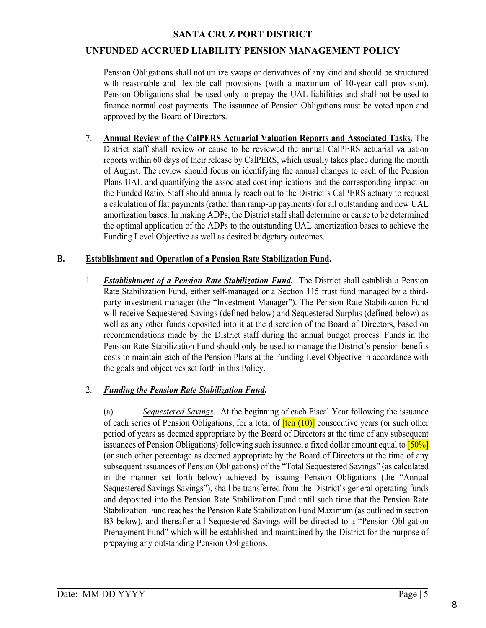## **UNFUNDED ACCRUED LIABILITY PENSION MANAGEMENT POLICY**

Pension Obligations shall not utilize swaps or derivatives of any kind and should be structured with reasonable and flexible call provisions (with a maximum of 10-year call provision). Pension Obligations shall be used only to prepay the UAL liabilities and shall not be used to finance normal cost payments. The issuance of Pension Obligations must be voted upon and approved by the Board of Directors.

 7. **Annual Review of the CalPERS Actuarial Valuation Reports and Associated Tasks.** The District staff shall review or cause to be reviewed the annual CalPERS actuarial valuation reports within 60 days of their release by CalPERS, which usually takes place during the month of August. The review should focus on identifying the annual changes to each of the Pension Plans UAL and quantifying the associated cost implications and the corresponding impact on the Funded Ratio. Staff should annually reach out to the District's CalPERS actuary to request a calculation of flat payments (rather than ramp-up payments) for all outstanding and new UAL amortization bases. In making ADPs, the District staff shall determine or cause to be determined the optimal application of the ADPs to the outstanding UAL amortization bases to achieve the Funding Level Objective as well as desired budgetary outcomes.

#### **B. Establishment and Operation of a Pension Rate Stabilization Fund.**

1. *Establishment of a Pension Rate Stabilization Fund***.** The District shall establish a Pension Rate Stabilization Fund, either self-managed or a Section 115 trust fund managed by a thirdparty investment manager (the "Investment Manager"). The Pension Rate Stabilization Fund will receive Sequestered Savings (defined below) and Sequestered Surplus (defined below) as well as any other funds deposited into it at the discretion of the Board of Directors, based on recommendations made by the District staff during the annual budget process. Funds in the Pension Rate Stabilization Fund should only be used to manage the District's pension benefits costs to maintain each of the Pension Plans at the Funding Level Objective in accordance with the goals and objectives set forth in this Policy.

# 2. *Funding the Pension Rate Stabilization Fund***.**

 (a) *Sequestered Savings*. At the beginning of each Fiscal Year following the issuance of each series of Pension Obligations, for a total of  $\frac{[ten (10)]}{[ten (10)]}$  consecutive years (or such other period of years as deemed appropriate by the Board of Directors at the time of any subsequent issuances of Pension Obligations) following such issuance, a fixed dollar amount equal to [50%] (or such other percentage as deemed appropriate by the Board of Directors at the time of any subsequent issuances of Pension Obligations) of the "Total Sequestered Savings" (as calculated in the manner set forth below) achieved by issuing Pension Obligations (the "Annual Sequestered Savings Savings"), shall be transferred from the District's general operating funds and deposited into the Pension Rate Stabilization Fund until such time that the Pension Rate Stabilization Fund reaches the Pension Rate Stabilization Fund Maximum (as outlined in section B3 below), and thereafter all Sequestered Savings will be directed to a "Pension Obligation Prepayment Fund" which will be established and maintained by the District for the purpose of prepaying any outstanding Pension Obligations.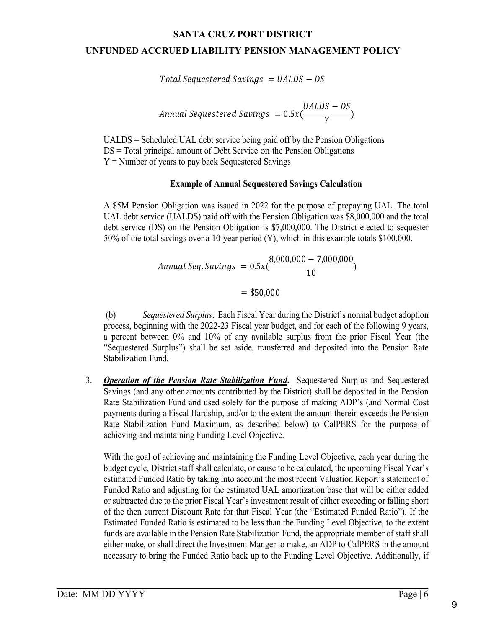# **UNFUNDED ACCRUED LIABILITY PENSION MANAGEMENT POLICY**

 $Total Sequestered\ Savings = UALDS - DS$ 

$$
Annual\ Sequestered\ Savings\ =\ 0.5x(\frac{UALDS - DS}{Y})
$$

UALDS = Scheduled UAL debt service being paid off by the Pension Obligations DS = Total principal amount of Debt Service on the Pension Obligations  $Y =$  Number of years to pay back Sequestered Savings

#### **Example of Annual Sequestered Savings Calculation**

A \$5M Pension Obligation was issued in 2022 for the purpose of prepaying UAL. The total UAL debt service (UALDS) paid off with the Pension Obligation was \$8,000,000 and the total debt service (DS) on the Pension Obligation is \$7,000,000. The District elected to sequester 50% of the total savings over a 10-year period (Y), which in this example totals \$100,000.

$$
Annual\ Seq.\ Savings\ =\ 0.5x(\frac{8,000,000-7,000,000}{10})
$$

 $=$  \$50,000

(b) *Sequestered Surplus*. Each Fiscal Year during the District's normal budget adoption process, beginning with the 2022-23 Fiscal year budget, and for each of the following 9 years, a percent between 0% and 10% of any available surplus from the prior Fiscal Year (the "Sequestered Surplus") shall be set aside, transferred and deposited into the Pension Rate Stabilization Fund.

3. *Operation of the Pension Rate Stabilization Fund***.** Sequestered Surplus and Sequestered Savings (and any other amounts contributed by the District) shall be deposited in the Pension Rate Stabilization Fund and used solely for the purpose of making ADP's (and Normal Cost payments during a Fiscal Hardship, and/or to the extent the amount therein exceeds the Pension Rate Stabilization Fund Maximum, as described below) to CalPERS for the purpose of achieving and maintaining Funding Level Objective.

With the goal of achieving and maintaining the Funding Level Objective, each year during the budget cycle, District staff shall calculate, or cause to be calculated, the upcoming Fiscal Year's estimated Funded Ratio by taking into account the most recent Valuation Report's statement of Funded Ratio and adjusting for the estimated UAL amortization base that will be either added or subtracted due to the prior Fiscal Year's investment result of either exceeding or falling short of the then current Discount Rate for that Fiscal Year (the "Estimated Funded Ratio"). If the Estimated Funded Ratio is estimated to be less than the Funding Level Objective, to the extent funds are available in the Pension Rate Stabilization Fund, the appropriate member of staff shall either make, or shall direct the Investment Manger to make, an ADP to CalPERS in the amount necessary to bring the Funded Ratio back up to the Funding Level Objective. Additionally, if